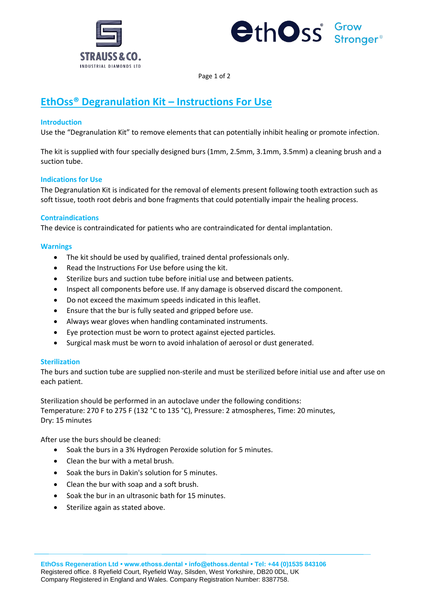



Page 1 of 2

# **EthOss® Degranulation Kit – Instructions For Use**

# **Introduction**

Use the "Degranulation Kit" to remove elements that can potentially inhibit healing or promote infection.

The kit is supplied with four specially designed burs (1mm, 2.5mm, 3.1mm, 3.5mm) a cleaning brush and a suction tube.

## **Indications for Use**

The Degranulation Kit is indicated for the removal of elements present following tooth extraction such as soft tissue, tooth root debris and bone fragments that could potentially impair the healing process.

## **Contraindications**

The device is contraindicated for patients who are contraindicated for dental implantation.

## **Warnings**

- The kit should be used by qualified, trained dental professionals only.
- Read the Instructions For Use before using the kit.
- Sterilize burs and suction tube before initial use and between patients.
- Inspect all components before use. If any damage is observed discard the component.
- Do not exceed the maximum speeds indicated in this leaflet.
- Ensure that the bur is fully seated and gripped before use.
- Always wear gloves when handling contaminated instruments.
- Eye protection must be worn to protect against ejected particles.
- Surgical mask must be worn to avoid inhalation of aerosol or dust generated.

# **Sterilization**

The burs and suction tube are supplied non-sterile and must be sterilized before initial use and after use on each patient.

Sterilization should be performed in an autoclave under the following conditions: Temperature: 270 F to 275 F (132 °C to 135 °C), Pressure: 2 atmospheres, Time: 20 minutes, Dry: 15 minutes

After use the burs should be cleaned:

- Soak the burs in a 3% Hydrogen Peroxide solution for 5 minutes.
- Clean the bur with a metal brush.
- Soak the burs in Dakin's solution for 5 minutes.
- Clean the bur with soap and a soft brush.
- Soak the bur in an ultrasonic bath for 15 minutes.
- Sterilize again as stated above.